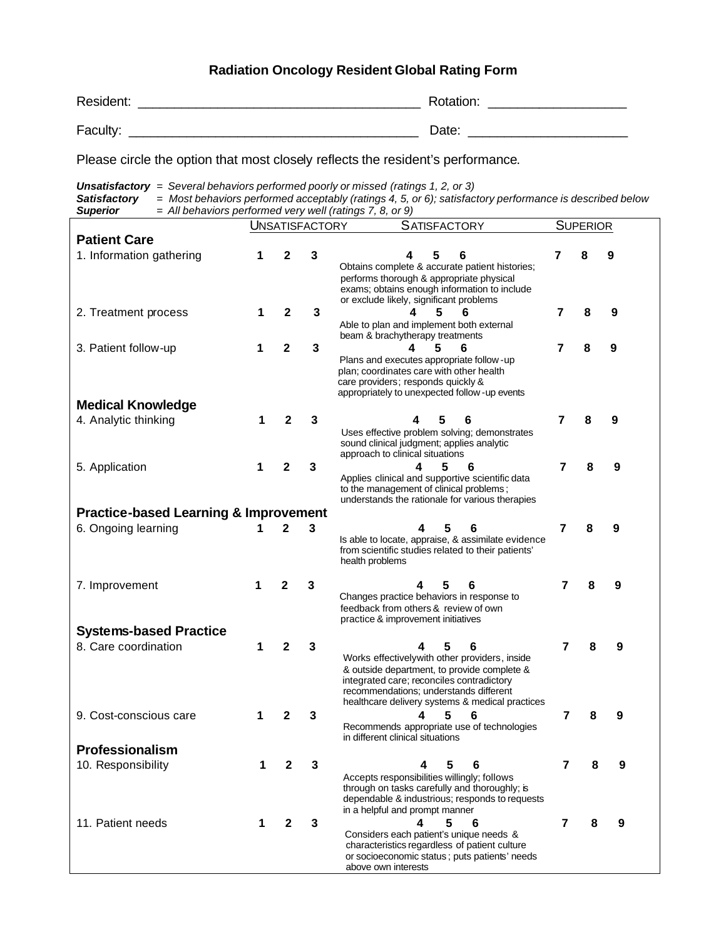## **Radiation Oncology Resident Global Rating Form**

| Resident: | Rotation: |
|-----------|-----------|
| Faculty:  | Date:     |

Please circle the option that most closely reflects the resident's performance.

*Unsatisfactory = Several behaviors performed poorly or missed (ratings 1, 2, or 3) Satisfactory = Most behaviors performed acceptably (ratings 4, 5, or 6); satisfactory performance is described below Superior = All behaviors performed very well (ratings 7, 8, or 9)*  $\overline{\phantom{a}}$ 

|                                                  | <b>SATISFACTORY</b><br><b>UNSATISFACTORY</b> |              | <b>SUPERIOR</b> |                                                                                                                                                                                                                                             |   |   |   |
|--------------------------------------------------|----------------------------------------------|--------------|-----------------|---------------------------------------------------------------------------------------------------------------------------------------------------------------------------------------------------------------------------------------------|---|---|---|
| <b>Patient Care</b>                              |                                              |              |                 |                                                                                                                                                                                                                                             |   |   |   |
| 1. Information gathering                         | 1                                            | 2            | 3               | 5<br>4<br>6<br>Obtains complete & accurate patient histories;<br>performs thorough & appropriate physical<br>exams; obtains enough information to include<br>or exclude likely, significant problems                                        | 7 | 8 | 9 |
| 2. Treatment process                             | 1                                            | 2            | 3               | 4<br>5<br>6<br>Able to plan and implement both external<br>beam & brachytherapy treatments                                                                                                                                                  | 7 | 8 | 9 |
| 3. Patient follow-up                             | 1                                            | 2            | 3               | 5<br>6<br>Plans and executes appropriate follow -up<br>plan; coordinates care with other health<br>care providers; responds quickly &<br>appropriately to unexpected follow - up events                                                     | 7 | 8 | 9 |
| <b>Medical Knowledge</b>                         |                                              |              |                 |                                                                                                                                                                                                                                             |   |   |   |
| 4. Analytic thinking                             | 1                                            | 2            | 3               | 6<br>Uses effective problem solving; demonstrates<br>sound clinical judgment; applies analytic<br>approach to clinical situations                                                                                                           | 7 |   | 9 |
| 5. Application                                   | 1                                            | 2            | 3               | 5<br>6<br>4<br>Applies clinical and supportive scientific data<br>to the management of clinical problems;<br>understands the rationale for various therapies                                                                                | 7 | 8 | 9 |
| <b>Practice-based Learning &amp; Improvement</b> |                                              |              |                 |                                                                                                                                                                                                                                             |   |   |   |
| 6. Ongoing learning                              | 1                                            | $\mathbf{2}$ | 3               | 5<br>6<br>Is able to locate, appraise, & assimilate evidence<br>from scientific studies related to their patients'<br>health problems                                                                                                       | 7 | 8 | 9 |
| 7. Improvement                                   |                                              | 2            | 3               | 4<br>5<br>6<br>Changes practice behaviors in response to<br>feedback from others & review of own<br>practice & improvement initiatives                                                                                                      | 7 | 8 | 9 |
| <b>Systems-based Practice</b>                    |                                              |              |                 |                                                                                                                                                                                                                                             |   |   |   |
| 8. Care coordination                             | 1                                            | 2            | 3               | 6<br>Works effectivelywith other providers, inside<br>& outside department, to provide complete &<br>integrated care; reconciles contradictory<br>recommendations; understands different<br>healthcare delivery systems & medical practices | 7 | 8 | 9 |
| 9. Cost-conscious care                           | 1                                            | 2            | 3               | 6<br>Recommends appropriate use of technologies<br>in different clinical situations                                                                                                                                                         | 7 |   | 9 |
| Professionalism                                  |                                              |              |                 |                                                                                                                                                                                                                                             |   |   |   |
| 10. Responsibility                               | 1                                            | 2            | З               | 6<br>Accepts responsibilities willingly; follows<br>through on tasks carefully and thoroughly; is<br>dependable & industrious; responds to requests<br>in a helpful and prompt manner                                                       | 7 |   | 9 |
| 11. Patient needs                                | 1                                            | 2            | 3               | 5<br>4<br>6<br>Considers each patient's unique needs &<br>characteristics regardless of patient culture<br>or socioeconomic status; puts patients' needs<br>above own interests                                                             | 7 | 8 | 9 |